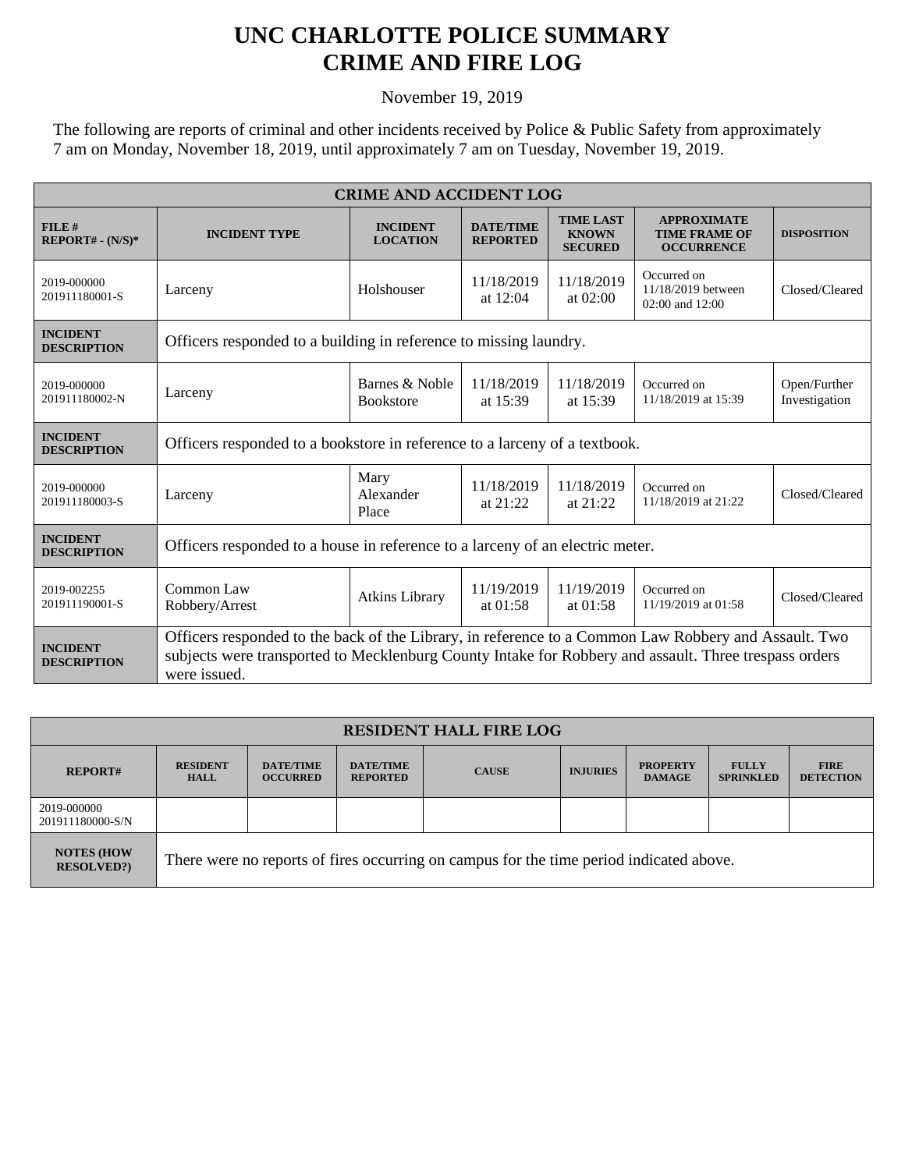## **UNC CHARLOTTE POLICE SUMMARY CRIME AND FIRE LOG**

November 19, 2019

The following are reports of criminal and other incidents received by Police & Public Safety from approximately 7 am on Monday, November 18, 2019, until approximately 7 am on Tuesday, November 19, 2019.

| <b>CRIME AND ACCIDENT LOG</b>         |                                                                                                                                                                                                                               |                                    |                                     |                                                    |                                                                 |                               |  |
|---------------------------------------|-------------------------------------------------------------------------------------------------------------------------------------------------------------------------------------------------------------------------------|------------------------------------|-------------------------------------|----------------------------------------------------|-----------------------------------------------------------------|-------------------------------|--|
| FILE#<br>$REPORT# - (N/S)*$           | <b>INCIDENT TYPE</b>                                                                                                                                                                                                          | <b>INCIDENT</b><br><b>LOCATION</b> | <b>DATE/TIME</b><br><b>REPORTED</b> | <b>TIME LAST</b><br><b>KNOWN</b><br><b>SECURED</b> | <b>APPROXIMATE</b><br><b>TIME FRAME OF</b><br><b>OCCURRENCE</b> | <b>DISPOSITION</b>            |  |
| 2019-000000<br>201911180001-S         | Larceny                                                                                                                                                                                                                       | Holshouser                         | 11/18/2019<br>at $12:04$            | 11/18/2019<br>at 02:00                             | Occurred on<br>11/18/2019 between<br>02:00 and 12:00            | Closed/Cleared                |  |
| <b>INCIDENT</b><br><b>DESCRIPTION</b> | Officers responded to a building in reference to missing laundry.                                                                                                                                                             |                                    |                                     |                                                    |                                                                 |                               |  |
| 2019-000000<br>201911180002-N         | Larceny                                                                                                                                                                                                                       | Barnes & Noble<br><b>Bookstore</b> | 11/18/2019<br>at 15:39              | 11/18/2019<br>at 15:39                             | Occurred on<br>11/18/2019 at 15:39                              | Open/Further<br>Investigation |  |
| <b>INCIDENT</b><br><b>DESCRIPTION</b> | Officers responded to a bookstore in reference to a larceny of a textbook.                                                                                                                                                    |                                    |                                     |                                                    |                                                                 |                               |  |
| 2019-000000<br>201911180003-S         | Larceny                                                                                                                                                                                                                       | Mary<br>Alexander<br>Place         | 11/18/2019<br>at $21:22$            | 11/18/2019<br>at 21:22                             | Occurred on<br>11/18/2019 at 21:22                              | Closed/Cleared                |  |
| <b>INCIDENT</b><br><b>DESCRIPTION</b> | Officers responded to a house in reference to a larceny of an electric meter.                                                                                                                                                 |                                    |                                     |                                                    |                                                                 |                               |  |
| 2019-002255<br>201911190001-S         | Common Law<br>Robbery/Arrest                                                                                                                                                                                                  | <b>Atkins Library</b>              | 11/19/2019<br>at $01:58$            | 11/19/2019<br>at $01:58$                           | Occurred on<br>11/19/2019 at 01:58                              | Closed/Cleared                |  |
| <b>INCIDENT</b><br><b>DESCRIPTION</b> | Officers responded to the back of the Library, in reference to a Common Law Robbery and Assault. Two<br>subjects were transported to Mecklenburg County Intake for Robbery and assault. Three trespass orders<br>were issued. |                                    |                                     |                                                    |                                                                 |                               |  |

| <b>RESIDENT HALL FIRE LOG</b>         |                                                                                         |                                     |                                     |              |                 |                                  |                                  |                                 |
|---------------------------------------|-----------------------------------------------------------------------------------------|-------------------------------------|-------------------------------------|--------------|-----------------|----------------------------------|----------------------------------|---------------------------------|
| <b>REPORT#</b>                        | <b>RESIDENT</b><br><b>HALL</b>                                                          | <b>DATE/TIME</b><br><b>OCCURRED</b> | <b>DATE/TIME</b><br><b>REPORTED</b> | <b>CAUSE</b> | <b>INJURIES</b> | <b>PROPERTY</b><br><b>DAMAGE</b> | <b>FULLY</b><br><b>SPRINKLED</b> | <b>FIRE</b><br><b>DETECTION</b> |
| 2019-000000<br>201911180000-S/N       |                                                                                         |                                     |                                     |              |                 |                                  |                                  |                                 |
| <b>NOTES (HOW</b><br><b>RESOLVED?</b> | There were no reports of fires occurring on campus for the time period indicated above. |                                     |                                     |              |                 |                                  |                                  |                                 |